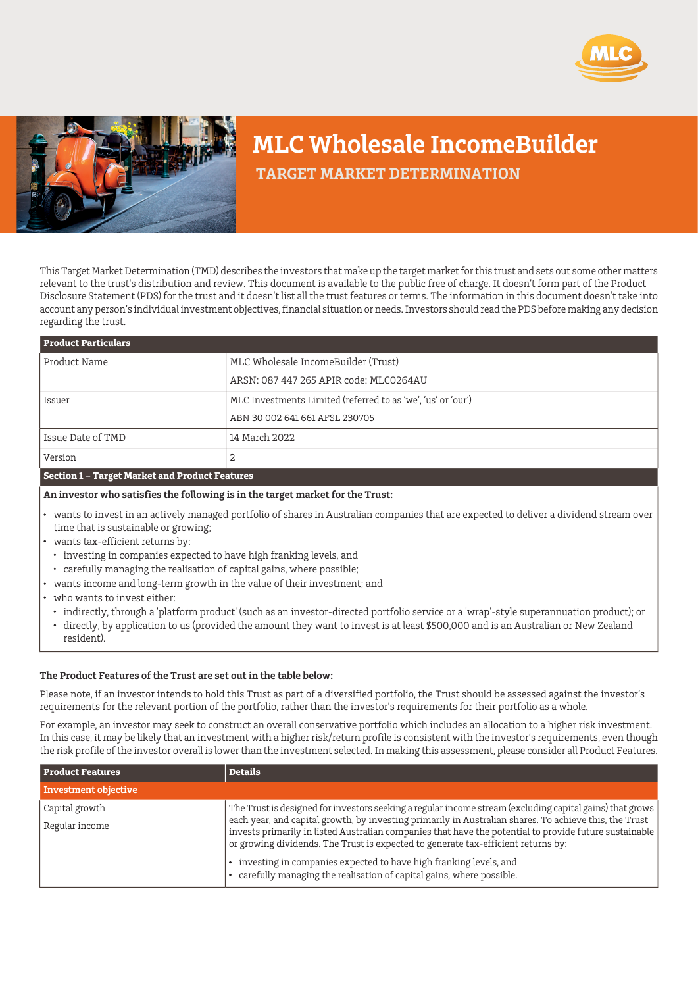



## **MLC Wholesale IncomeBuilder**

 **TARGET MARKET DETERMINATION**

This Target Market Determination (TMD) describes the investors that make up the target market for this trust and sets out some other matters relevant to the trust's distribution and review. This document is available to the public free of charge. It doesn't form part of the Product Disclosure Statement (PDS) for the trust and it doesn't list all the trust features or terms. The information in this document doesn't take into account any person's individual investment objectives, financial situation or needs. Investors should read the PDS before making any decision regarding the trust.

| <b>Product Particulars</b> |                                                              |  |
|----------------------------|--------------------------------------------------------------|--|
| Product Name               | MLC Wholesale IncomeBuilder (Trust)                          |  |
|                            | ARSN: 087 447 265 APIR code: MLC0264AU                       |  |
| Issuer                     | MLC Investments Limited (referred to as 'we', 'us' or 'our') |  |
|                            | ABN 30 002 641 661 AFSL 230705                               |  |
| Issue Date of TMD          | 14 March 2022                                                |  |
| Version                    | 2                                                            |  |
|                            |                                                              |  |

## **Section 1 – Target Market and Product Features**

**An investor who satisfies the following is in the target market for the Trust:**

- wants to invest in an actively managed portfolio of shares in Australian companies that are expected to deliver a dividend stream over time that is sustainable or growing;
- wants tax-efficient returns by:
	- investing in companies expected to have high franking levels, and
	- carefully managing the realisation of capital gains, where possible;
- wants income and long-term growth in the value of their investment; and
- who wants to invest either:
	- indirectly, through a 'platform product' (such as an investor-directed portfolio service or a 'wrap'-style superannuation product); or directly, by application to us (provided the amount they want to invest is at least \$500,000 and is an Australian or New Zealand resident).

## **The Product Features of the Trust are set out in the table below:**

Please note, if an investor intends to hold this Trust as part of a diversified portfolio, the Trust should be assessed against the investor's requirements for the relevant portion of the portfolio, rather than the investor's requirements for their portfolio as a whole.

For example, an investor may seek to construct an overall conservative portfolio which includes an allocation to a higher risk investment. In this case, it may be likely that an investment with a higher risk/return profile is consistent with the investor's requirements, even though the risk profile of the investor overall is lower than the investment selected. In making this assessment, please consider all Product Features.

| <b>Product Features</b>          | <b>Details</b>                                                                                                                                                                                                                                                                                                                                                                                                                                                                                                                                                 |
|----------------------------------|----------------------------------------------------------------------------------------------------------------------------------------------------------------------------------------------------------------------------------------------------------------------------------------------------------------------------------------------------------------------------------------------------------------------------------------------------------------------------------------------------------------------------------------------------------------|
| <b>Investment objective</b>      |                                                                                                                                                                                                                                                                                                                                                                                                                                                                                                                                                                |
| Capital growth<br>Regular income | The Trust is designed for investors seeking a regular income stream (excluding capital gains) that grows<br>each year, and capital growth, by investing primarily in Australian shares. To achieve this, the Trust<br>invests primarily in listed Australian companies that have the potential to provide future sustainable<br>or growing dividends. The Trust is expected to generate tax-efficient returns by:<br>investing in companies expected to have high franking levels, and<br>carefully managing the realisation of capital gains, where possible. |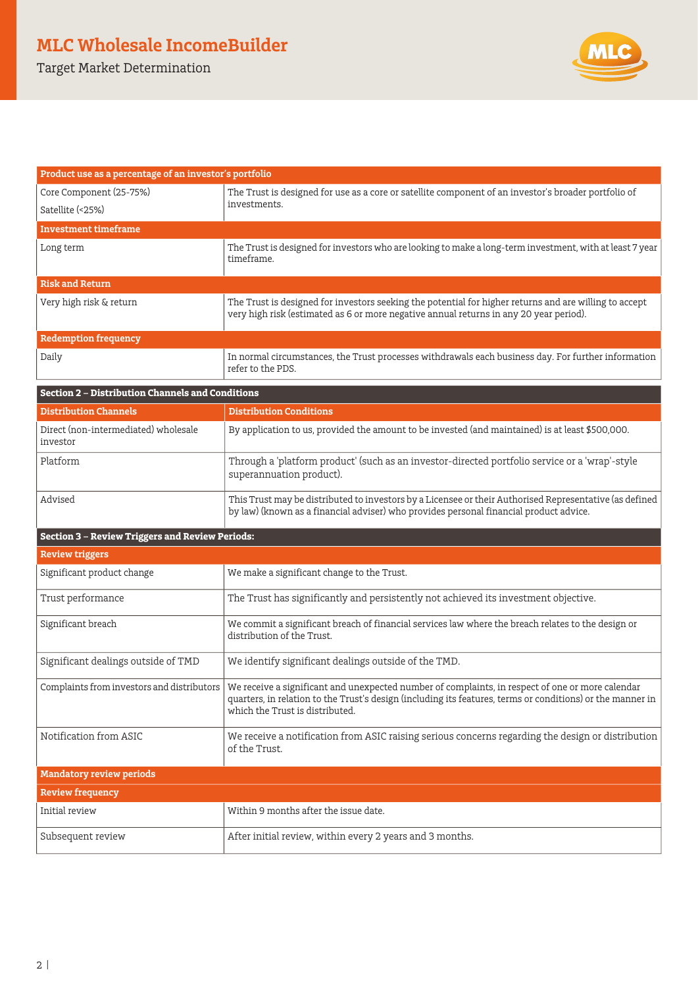Target Market Determination



| Product use as a percentage of an investor's portfolio  |                                                                                                                                                                                                                                                   |  |
|---------------------------------------------------------|---------------------------------------------------------------------------------------------------------------------------------------------------------------------------------------------------------------------------------------------------|--|
| Core Component (25-75%)<br>Satellite (<25%)             | The Trust is designed for use as a core or satellite component of an investor's broader portfolio of<br>investments.                                                                                                                              |  |
| Investment timeframe                                    |                                                                                                                                                                                                                                                   |  |
| Long term                                               | The Trust is designed for investors who are looking to make a long-term investment, with at least 7 year<br>timeframe.                                                                                                                            |  |
| <b>Risk and Return</b>                                  |                                                                                                                                                                                                                                                   |  |
| Very high risk & return                                 | The Trust is designed for investors seeking the potential for higher returns and are willing to accept<br>very high risk (estimated as 6 or more negative annual returns in any 20 year period).                                                  |  |
| <b>Redemption frequency</b>                             |                                                                                                                                                                                                                                                   |  |
| Daily                                                   | In normal circumstances, the Trust processes withdrawals each business day. For further information<br>refer to the PDS.                                                                                                                          |  |
| <b>Section 2 - Distribution Channels and Conditions</b> |                                                                                                                                                                                                                                                   |  |
| Distribution Channels                                   | <b>Distribution Conditions</b>                                                                                                                                                                                                                    |  |
| Direct (non-intermediated) wholesale<br>investor        | By application to us, provided the amount to be invested (and maintained) is at least \$500,000.                                                                                                                                                  |  |
| Platform                                                | Through a 'platform product' (such as an investor-directed portfolio service or a 'wrap'-style<br>superannuation product).                                                                                                                        |  |
| Advised                                                 | This Trust may be distributed to investors by a Licensee or their Authorised Representative (as defined<br>by law) (known as a financial adviser) who provides personal financial product advice.                                                 |  |
| <b>Section 3 - Review Triggers and Review Periods:</b>  |                                                                                                                                                                                                                                                   |  |
| <b>Review triggers</b>                                  |                                                                                                                                                                                                                                                   |  |
| Significant product change                              | We make a significant change to the Trust.                                                                                                                                                                                                        |  |
| Trust performance                                       | The Trust has significantly and persistently not achieved its investment objective.                                                                                                                                                               |  |
| Significant breach                                      | We commit a significant breach of financial services law where the breach relates to the design or<br>distribution of the Trust.                                                                                                                  |  |
| Significant dealings outside of TMD                     | We identify significant dealings outside of the TMD.                                                                                                                                                                                              |  |
| Complaints from investors and distributors              | We receive a significant and unexpected number of complaints, in respect of one or more calendar<br>quarters, in relation to the Trust's design (including its features, terms or conditions) or the manner in<br>which the Trust is distributed. |  |
| Notification from ASIC                                  | We receive a notification from ASIC raising serious concerns regarding the design or distribution<br>of the Trust.                                                                                                                                |  |

| <b>Mandatory review periods</b> |                                                          |  |
|---------------------------------|----------------------------------------------------------|--|
| <b>Review frequency</b>         |                                                          |  |
| Initial review                  | Within 9 months after the issue date.                    |  |
| Subsequent review               | After initial review, within every 2 years and 3 months. |  |